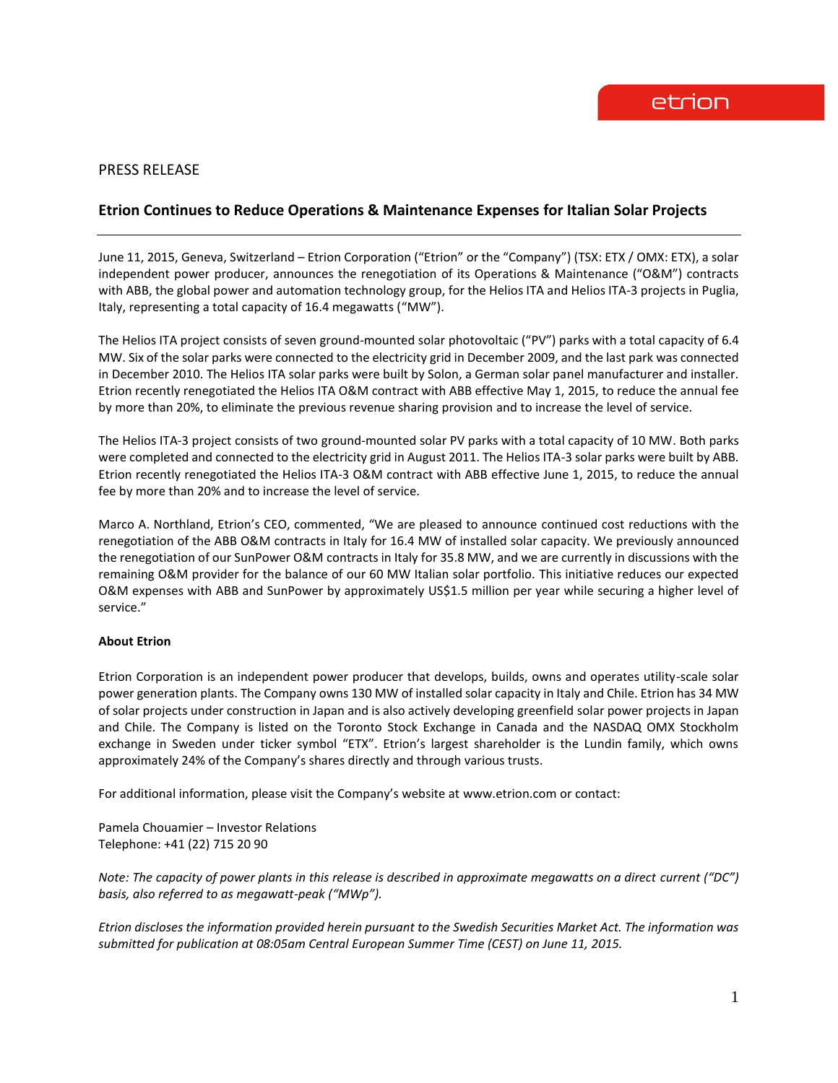## PRESS RELEASE

## **Etrion Continues to Reduce Operations & Maintenance Expenses for Italian Solar Projects**

June 11, 2015, Geneva, Switzerland – Etrion Corporation ("Etrion" or the "Company") (TSX: ETX / OMX: ETX), a solar independent power producer, announces the renegotiation of its Operations & Maintenance ("O&M") contracts with ABB, the global power and automation technology group, for the Helios ITA and Helios ITA-3 projects in Puglia, Italy, representing a total capacity of 16.4 megawatts ("MW").

The Helios ITA project consists of seven ground-mounted solar photovoltaic ("PV") parks with a total capacity of 6.4 MW. Six of the solar parks were connected to the electricity grid in December 2009, and the last park was connected in December 2010. The Helios ITA solar parks were built by Solon, a German solar panel manufacturer and installer. Etrion recently renegotiated the Helios ITA O&M contract with ABB effective May 1, 2015, to reduce the annual fee by more than 20%, to eliminate the previous revenue sharing provision and to increase the level of service.

The Helios ITA-3 project consists of two ground-mounted solar PV parks with a total capacity of 10 MW. Both parks were completed and connected to the electricity grid in August 2011. The Helios ITA-3 solar parks were built by ABB. Etrion recently renegotiated the Helios ITA-3 O&M contract with ABB effective June 1, 2015, to reduce the annual fee by more than 20% and to increase the level of service.

Marco A. Northland, Etrion's CEO, commented, "We are pleased to announce continued cost reductions with the renegotiation of the ABB O&M contracts in Italy for 16.4 MW of installed solar capacity. We previously announced the renegotiation of our SunPower O&M contracts in Italy for 35.8 MW, and we are currently in discussions with the remaining O&M provider for the balance of our 60 MW Italian solar portfolio. This initiative reduces our expected O&M expenses with ABB and SunPower by approximately US\$1.5 million per year while securing a higher level of service."

## **About Etrion**

Etrion Corporation is an independent power producer that develops, builds, owns and operates utility-scale solar power generation plants. The Company owns 130 MW of installed solar capacity in Italy and Chile. Etrion has 34 MW of solar projects under construction in Japan and is also actively developing greenfield solar power projects in Japan and Chile. The Company is listed on the Toronto Stock Exchange in Canada and the NASDAQ OMX Stockholm exchange in Sweden under ticker symbol "ETX". Etrion's largest shareholder is the Lundin family, which owns approximately 24% of the Company's shares directly and through various trusts.

For additional information, please visit the Company's website at www.etrion.com or contact:

Pamela Chouamier – Investor Relations Telephone: +41 (22) 715 20 90

*Note: The capacity of power plants in this release is described in approximate megawatts on a direct current ("DC") basis, also referred to as megawatt-peak ("MWp").*

*Etrion discloses the information provided herein pursuant to the Swedish Securities Market Act. The information was submitted for publication at 08:05am Central European Summer Time (CEST) on June 11, 2015.*